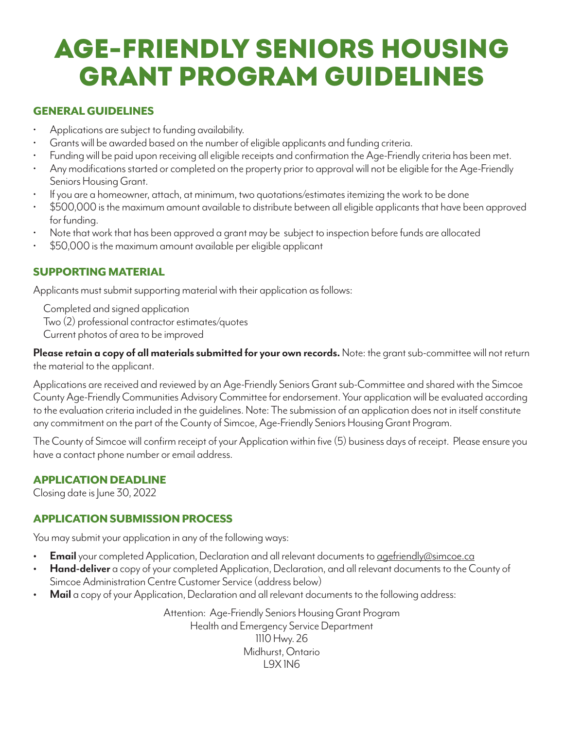## Age-Friendly Seniors Housing Grant Program Guidelines

### GENERAL GUIDELINES

- Applications are subject to funding availability.
- Grants will be awarded based on the number of eligible applicants and funding criteria.
- Funding will be paid upon receiving all eligible receipts and confirmation the Age-Friendly criteria has been met.
- Any modifications started or completed on the property prior to approval will not be eligible for the Age-Friendly Seniors Housing Grant.
- If you are a homeowner, attach, at minimum, two quotations/estimates itemizing the work to be done
- \$500,000 is the maximum amount available to distribute between all eligible applicants that have been approved for funding.
- Note that work that has been approved a grant may be subject to inspection before funds are allocated
- \$50,000 is the maximum amount available per eligible applicant

## SUPPORTING MATERIAL

Applicants must submit supporting material with their application as follows:

 Completed and signed application Two (2) professional contractor estimates/quotes Current photos of area to be improved

**Please retain a copy of all materials submitted for your own records.** Note: the grant sub-committee will not return the material to the applicant. l

Applications are received and reviewed by an Age-Friendly Seniors Grant sub-Committee and shared with the Simcoe County Age-Friendly Communities Advisory Committee for endorsement. Your application will be evaluated according to the evaluation criteria included in the guidelines. Note: The submission of an application does not in itself constitute any commitment on the part of the County of Simcoe, Age-Friendly Seniors Housing Grant Program.

The County of Simcoe will confirm receipt of your Application within five (5) business days of receipt. Please ensure you have a contact phone number or email address.

#### APPLICATION DEADLINE

Closing date is June 30, 2022

## APPLICATION SUBMISSION PROCESS

You may submit your application in any of the following ways:

- **Email** your completed Application, Declaration and all relevant documents to agefriendly@simcoe.ca
- **• Hand-deliver** a copy of your completed Application, Declaration, and all relevant documents to the County of Simcoe Administration Centre Customer Service (address below)
- **• Mail** a copy of your Application, Declaration and all relevant documents to the following address:

Attention: Age-Friendly Seniors Housing Grant Program Health and Emergency Service Department 1110 Hwy. 26 Midhurst, Ontario L9X 1N6